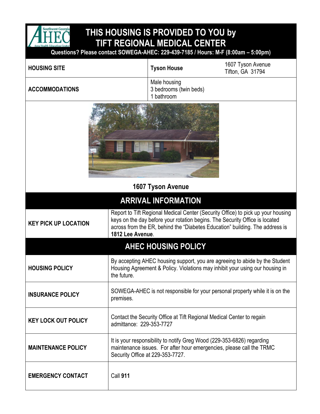

## **THIS HOUSING IS PROVIDED TO YOU by TIFT REGIONAL MEDICAL CENTER**

**Questions? Please contact SOWEGA-AHEC: 229-439-7185 / Hours: M-F (8:00am – 5:00pm)**

| <b>HOUSING SITE</b>   | <b>Tyson House</b>                                   | 1607 Tyson Avenue<br>Tifton, GA 31794 |  |  |
|-----------------------|------------------------------------------------------|---------------------------------------|--|--|
| <b>ACCOMMODATIONS</b> | Male housing<br>3 bedrooms (twin beds)<br>1 bathroom |                                       |  |  |
|                       |                                                      |                                       |  |  |



**1607 Tyson Avenue**

|  |  |  | <b>ARRIVAL INFORMATION</b> |  |
|--|--|--|----------------------------|--|
|  |  |  |                            |  |

| <b>KEY PICK UP LOCATION</b> | Report to Tift Regional Medical Center (Security Office) to pick up your housing<br>keys on the day before your rotation begins. The Security Office is located<br>across from the ER, behind the "Diabetes Education" building. The address is<br>1812 Lee Avenue. |  |  |  |
|-----------------------------|---------------------------------------------------------------------------------------------------------------------------------------------------------------------------------------------------------------------------------------------------------------------|--|--|--|
| <b>AHEC HOUSING POLICY</b>  |                                                                                                                                                                                                                                                                     |  |  |  |
| <b>HOUSING POLICY</b>       | By accepting AHEC housing support, you are agreeing to abide by the Student<br>Housing Agreement & Policy. Violations may inhibit your using our housing in<br>the future.                                                                                          |  |  |  |
| <b>INSURANCE POLICY</b>     | SOWEGA-AHEC is not responsible for your personal property while it is on the<br>premises.                                                                                                                                                                           |  |  |  |
| <b>KEY LOCK OUT POLICY</b>  | Contact the Security Office at Tift Regional Medical Center to regain<br>admittance: 229-353-7727                                                                                                                                                                   |  |  |  |
| <b>MAINTENANCE POLICY</b>   | It is your responsibility to notify Greg Wood (229-353-6826) regarding<br>maintenance issues. For after hour emergencies, please call the TRMC<br>Security Office at 229-353-7727.                                                                                  |  |  |  |
| <b>EMERGENCY CONTACT</b>    | <b>Call 911</b>                                                                                                                                                                                                                                                     |  |  |  |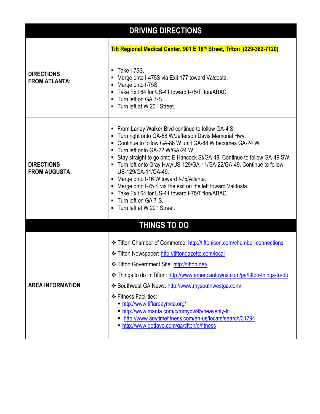| <b>DRIVING DIRECTIONS</b>                 |                                                                                                                                                                                                                                                                                                                                                                                                                                                                                                                                                                                                                                                                  |  |  |  |
|-------------------------------------------|------------------------------------------------------------------------------------------------------------------------------------------------------------------------------------------------------------------------------------------------------------------------------------------------------------------------------------------------------------------------------------------------------------------------------------------------------------------------------------------------------------------------------------------------------------------------------------------------------------------------------------------------------------------|--|--|--|
|                                           | Tift Regional Medical Center, 901 E 18th Street, Tifton (229-382-7120)                                                                                                                                                                                                                                                                                                                                                                                                                                                                                                                                                                                           |  |  |  |
| <b>DIRECTIONS</b><br><b>FROM ATLANTA:</b> | $\blacksquare$ Take I-75S.<br>Merge onto I-475S via Exit 177 toward Valdosta.<br>• Merge onto I-75S.<br>- Take Exit 64 for US-41 toward I-75/Tifton/ABAC.<br>• Turn left on GA 7-S.<br>• Turn left at W 20 <sup>th</sup> Street.                                                                                                                                                                                                                                                                                                                                                                                                                                 |  |  |  |
| <b>DIRECTIONS</b><br><b>FROM AUGUSTA:</b> | • From Laney Walker Blvd continue to follow GA-4 S.<br>" Turn right onto GA-88 W/Jefferson Davis Memorial Hwy.<br>• Continue to follow GA-88 W until GA-88 W becomes GA-24 W.<br>■ Turn left onto GA-22 W/GA-24 W.<br>Stay straight to go onto E Hancock St/GA-49. Continue to follow GA-49 SW.<br>■ Turn left onto Gray Hwy/US-129/GA-11/GA-22/GA-49. Continue to follow<br>US-129/GA-11/GA-49.<br>■ Merge onto I-16 W toward I-75/Atlanta.<br>■ Merge onto I-75 S via the exit on the left toward Valdosta.<br>• Take Exit 64 for US-41 toward I-75/Tifton/ABAC.<br>■ Turn left on GA 7-S.<br>■ Turn left at W 20 <sup>th</sup> Street.<br><b>THINGS TO DO</b> |  |  |  |
|                                           | ❖ Tifton Chamber of Commerce: http://tiftonison.com/chamber-connections                                                                                                                                                                                                                                                                                                                                                                                                                                                                                                                                                                                          |  |  |  |
|                                           | ❖ Tifton Newspaper: http://tiftongazette.com/local                                                                                                                                                                                                                                                                                                                                                                                                                                                                                                                                                                                                               |  |  |  |
|                                           | ❖ Tifton Government Site: http://tifton.net/                                                                                                                                                                                                                                                                                                                                                                                                                                                                                                                                                                                                                     |  |  |  |
|                                           | <b>Example 3</b> Things to do in Tifton: http://www.americantowns.com/ga/tifton-things-to-do                                                                                                                                                                                                                                                                                                                                                                                                                                                                                                                                                                     |  |  |  |
| <b>AREA INFORMATION</b>                   | ❖ Southwest GA News: http://www.mysouthwestga.com/                                                                                                                                                                                                                                                                                                                                                                                                                                                                                                                                                                                                               |  |  |  |
|                                           | ❖ Fitness Facilities:<br>http://www.tiftareaymca.org/<br>• http://www.manta.com/c/mmypw95/heavenly-fit<br>http://www.anytimefitness.com/en-us/locate/search/31794<br>http://www.getfave.com/ga/tifton/g/fitness                                                                                                                                                                                                                                                                                                                                                                                                                                                  |  |  |  |